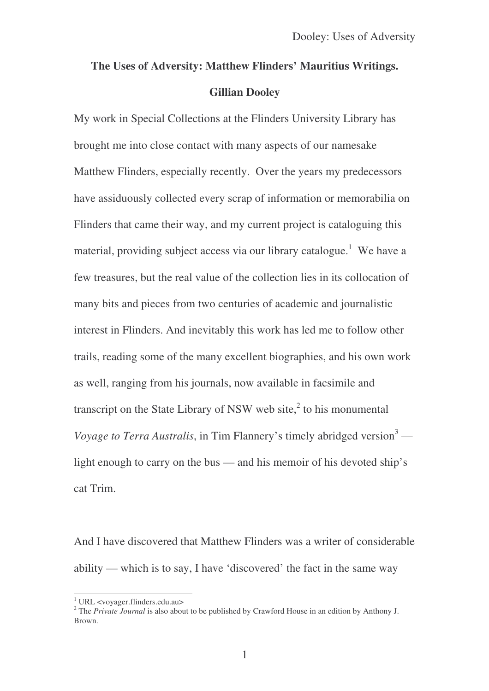## **The Uses of Adversity: Matthew Flinders' Mauritius Writings. Gillian Dooley**

My work in Special Collections at the Flinders University Library has brought me into close contact with many aspects of our namesake Matthew Flinders, especially recently. Over the years my predecessors have assiduously collected every scrap of information or memorabilia on Flinders that came their way, and my current project is cataloguing this material, providing subject access via our library catalogue.<sup>1</sup> We have a few treasures, but the real value of the collection lies in its collocation of many bits and pieces from two centuries of academic and journalistic interest in Flinders. And inevitably this work has led me to follow other trails, reading some of the many excellent biographies, and his own work as well, ranging from his journals, now available in facsimile and transcript on the State Library of NSW web site, $\lambda$  to his monumental *Voyage to Terra Australis*, in Tim Flannery's timely abridged version <sup>3</sup> light enough to carry on the bus — and his memoir of his devoted ship's cat Trim.

And I have discovered that Matthew Flinders was a writer of considerable ability — which is to say, I have 'discovered' the fact in the same way

<sup>1</sup> URL <voyager.flinders.edu.au>

<sup>2</sup> The *Private Journal* is also about to be published by Crawford House in an edition by Anthony J. Brown.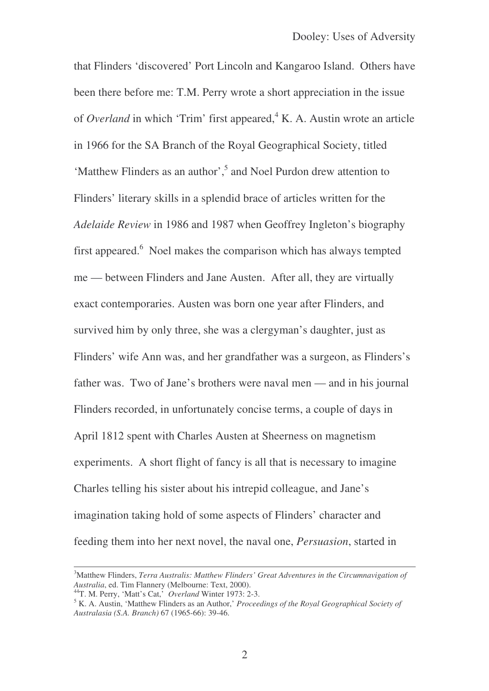that Flinders 'discovered' Port Lincoln and Kangaroo Island. Others have been there before me: T.M. Perry wrote a short appreciation in the issue of *Overland* in which 'Trim' first appeared, <sup>4</sup> K. A. Austin wrote an article in 1966 for the SA Branch of the Royal Geographical Society, titled 'Matthew Flinders as an author', 5 and Noel Purdon drew attention to Flinders' literary skills in a splendid brace of articles written for the *Adelaide Review* in 1986 and 1987 when Geoffrey Ingleton's biography first appeared.<sup>6</sup> Noel makes the comparison which has always tempted me — between Flinders and Jane Austen. After all, they are virtually exact contemporaries. Austen was born one year after Flinders, and survived him by only three, she was a clergyman's daughter, just as Flinders' wife Ann was, and her grandfather was a surgeon, as Flinders's father was. Two of Jane's brothers were naval men — and in his journal Flinders recorded, in unfortunately concise terms, a couple of days in April 1812 spent with Charles Austen at Sheerness on magnetism experiments. A short flight of fancy is all that is necessary to imagine Charles telling his sister about his intrepid colleague, and Jane's imagination taking hold of some aspects of Flinders' character and feeding them into her next novel, the naval one, *Persuasion*, started in

<sup>3</sup>Matthew Flinders, *Terra Australis: Matthew Flinders' Great Adventures in the Circumnavigation of Australia*, ed. Tim Flannery (Melbourne: Text, 2000).

<sup>44</sup>T. M. Perry, 'Matt's Cat,' *Overland* Winter 1973: 2-3.

<sup>5</sup> K. A. Austin, 'Matthew Flinders as an Author,' *Proceedings of the Royal Geographical Society of Australasia (S.A. Branch)* 67 (1965-66): 39-46.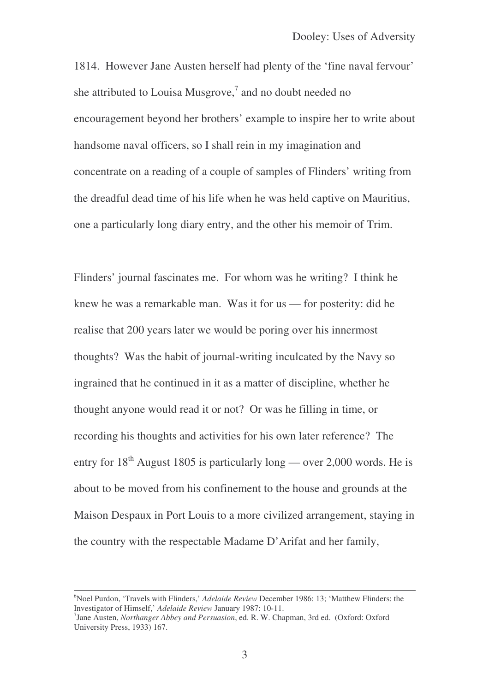1814. However Jane Austen herself had plenty of the 'fine naval fervour' she attributed to Louisa Musgrove, $\frac{7}{1}$  and no doubt needed no encouragement beyond her brothers' example to inspire her to write about handsome naval officers, so I shall rein in my imagination and concentrate on a reading of a couple of samples of Flinders' writing from the dreadful dead time of his life when he was held captive on Mauritius, one a particularly long diary entry, and the other his memoir of Trim.

Flinders' journal fascinates me. For whom was he writing? I think he knew he was a remarkable man. Was it for us — for posterity: did he realise that 200 years later we would be poring over his innermost thoughts? Was the habit of journal-writing inculcated by the Navy so ingrained that he continued in it as a matter of discipline, whether he thought anyone would read it or not? Or was he filling in time, or recording his thoughts and activities for his own later reference? The entry for  $18<sup>th</sup>$  August 1805 is particularly long — over 2,000 words. He is about to be moved from his confinement to the house and grounds at the Maison Despaux in Port Louis to a more civilized arrangement, staying in the country with the respectable Madame D'Arifat and her family,

<sup>&</sup>lt;sup>6</sup>Noel Purdon, 'Travels with Flinders,' *Adelaide Review* December 1986: 13; 'Matthew Flinders: the Investigator of Himself,' *Adelaide Review* January 1987: 10-11.

<sup>7</sup> Jane Austen, *Northanger Abbey and Persuasion*, ed. R. W. Chapman, 3rd ed. (Oxford: Oxford University Press, 1933) 167.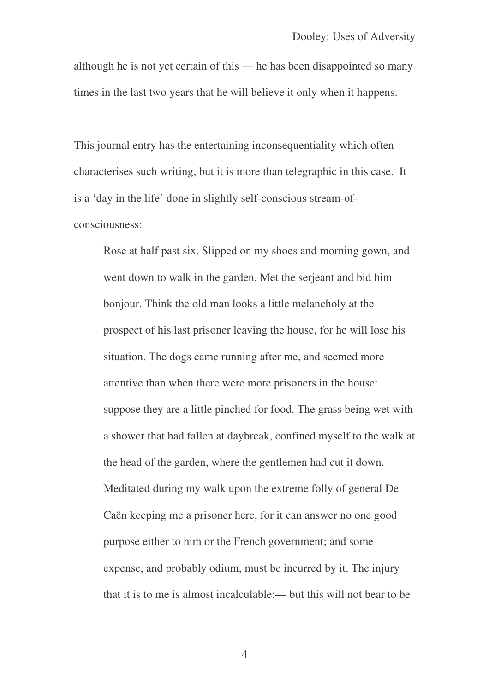although he is not yet certain of this — he has been disappointed so many times in the last two years that he will believe it only when it happens.

This journal entry has the entertaining inconsequentiality which often characterises such writing, but it is more than telegraphic in this case. It is a 'day in the life' done in slightly self-conscious stream-ofconsciousness:

Rose at half past six. Slipped on my shoes and morning gown, and went down to walk in the garden. Met the serjeant and bid him bonjour. Think the old man looks a little melancholy at the prospect of his last prisoner leaving the house, for he will lose his situation. The dogs came running after me, and seemed more attentive than when there were more prisoners in the house: suppose they are a little pinched for food. The grass being wet with a shower that had fallen at daybreak, confined myself to the walk at the head of the garden, where the gentlemen had cut it down. Meditated during my walk upon the extreme folly of general De Caën keeping me a prisoner here, for it can answer no one good purpose either to him or the French government; and some expense, and probably odium, must be incurred by it. The injury that it is to me is almost incalculable:— but this will not bear to be

4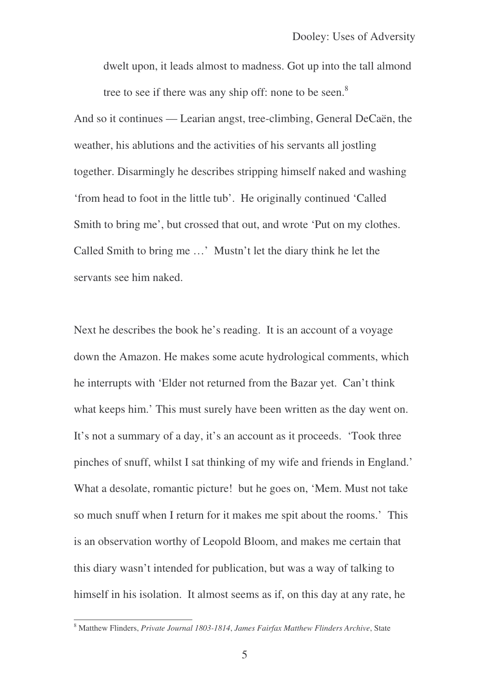dwelt upon, it leads almost to madness. Got up into the tall almond tree to see if there was any ship off: none to be seen.<sup>8</sup>

And so it continues — Learian angst, tree-climbing, General DeCaën, the weather, his ablutions and the activities of his servants all jostling together. Disarmingly he describes stripping himself naked and washing 'from head to foot in the little tub'. He originally continued 'Called Smith to bring me', but crossed that out, and wrote 'Put on my clothes. Called Smith to bring me …' Mustn't let the diary think he let the servants see him naked.

Next he describes the book he's reading. It is an account of a voyage down the Amazon. He makes some acute hydrological comments, which he interrupts with 'Elder not returned from the Bazar yet. Can't think what keeps him.' This must surely have been written as the day went on. It's not a summary of a day, it's an account as it proceeds. 'Took three pinches of snuff, whilst I sat thinking of my wife and friends in England.' What a desolate, romantic picture! but he goes on, 'Mem. Must not take so much snuff when I return for it makes me spit about the rooms.' This is an observation worthy of Leopold Bloom, and makes me certain that this diary wasn't intended for publication, but was a way of talking to himself in his isolation. It almost seems as if, on this day at any rate, he

<sup>8</sup> Matthew Flinders, *Private Journal 1803-1814*, *James Fairfax Matthew Flinders Archive*, State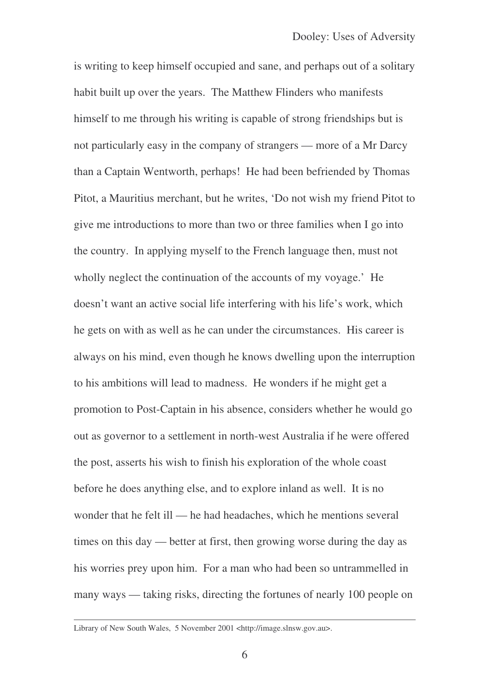is writing to keep himself occupied and sane, and perhaps out of a solitary habit built up over the years. The Matthew Flinders who manifests himself to me through his writing is capable of strong friendships but is not particularly easy in the company of strangers — more of a Mr Darcy than a Captain Wentworth, perhaps! He had been befriended by Thomas Pitot, a Mauritius merchant, but he writes, 'Do not wish my friend Pitot to give me introductions to more than two or three families when I go into the country. In applying myself to the French language then, must not wholly neglect the continuation of the accounts of my voyage.' He doesn't want an active social life interfering with his life's work, which he gets on with as well as he can under the circumstances. His career is always on his mind, even though he knows dwelling upon the interruption to his ambitions will lead to madness. He wonders if he might get a promotion to Post-Captain in his absence, considers whether he would go out as governor to a settlement in north-west Australia if he were offered the post, asserts his wish to finish his exploration of the whole coast before he does anything else, and to explore inland as well. It is no wonder that he felt ill — he had headaches, which he mentions several times on this day — better at first, then growing worse during the day as his worries prey upon him. For a man who had been so untrammelled in many ways — taking risks, directing the fortunes of nearly 100 people on

Library of New South Wales, 5 November 2001 <http://image.slnsw.gov.au>.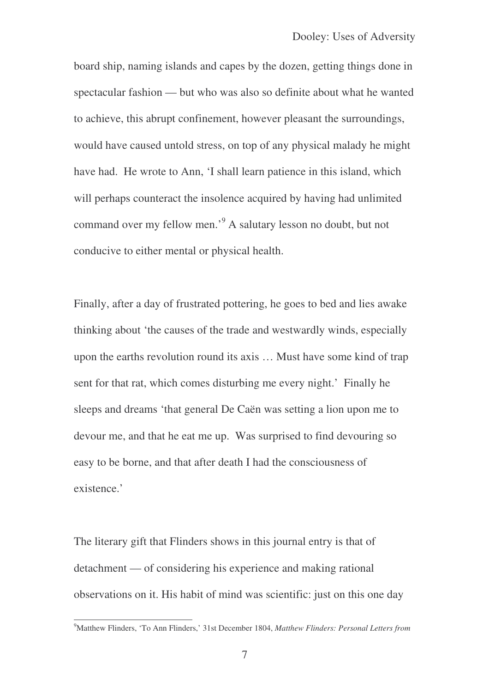board ship, naming islands and capes by the dozen, getting things done in spectacular fashion — but who was also so definite about what he wanted to achieve, this abrupt confinement, however pleasant the surroundings, would have caused untold stress, on top of any physical malady he might have had. He wrote to Ann, 'I shall learn patience in this island, which will perhaps counteract the insolence acquired by having had unlimited command over my fellow men.' <sup>9</sup> A salutary lesson no doubt, but not conducive to either mental or physical health.

Finally, after a day of frustrated pottering, he goes to bed and lies awake thinking about 'the causes of the trade and westwardly winds, especially upon the earths revolution round its axis … Must have some kind of trap sent for that rat, which comes disturbing me every night.' Finally he sleeps and dreams 'that general De Caën was setting a lion upon me to devour me, and that he eat me up. Was surprised to find devouring so easy to be borne, and that after death I had the consciousness of existence.'

The literary gift that Flinders shows in this journal entry is that of detachment — of considering his experience and making rational observations on it. His habit of mind was scientific: just on this one day

<sup>9</sup>Matthew Flinders, 'To Ann Flinders,' 31st December 1804, *Matthew Flinders: Personal Letters from*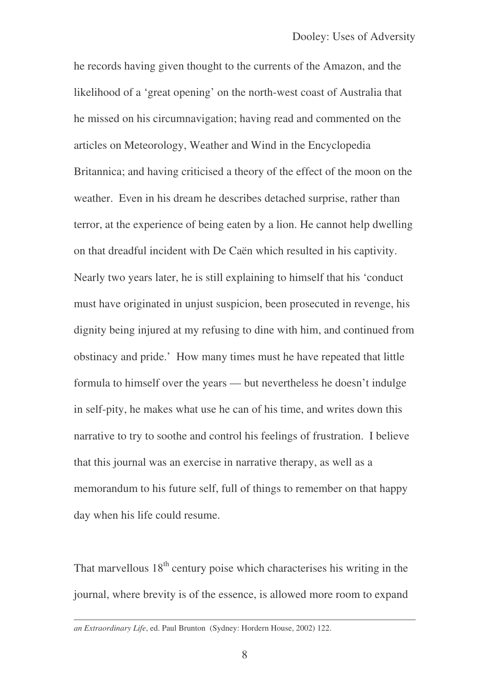he records having given thought to the currents of the Amazon, and the likelihood of a 'great opening' on the north-west coast of Australia that he missed on his circumnavigation; having read and commented on the articles on Meteorology, Weather and Wind in the Encyclopedia Britannica; and having criticised a theory of the effect of the moon on the weather. Even in his dream he describes detached surprise, rather than terror, at the experience of being eaten by a lion. He cannot help dwelling on that dreadful incident with De Caën which resulted in his captivity. Nearly two years later, he is still explaining to himself that his 'conduct must have originated in unjust suspicion, been prosecuted in revenge, his dignity being injured at my refusing to dine with him, and continued from obstinacy and pride.' How many times must he have repeated that little formula to himself over the years — but nevertheless he doesn't indulge in self-pity, he makes what use he can of his time, and writes down this narrative to try to soothe and control his feelings of frustration. I believe that this journal was an exercise in narrative therapy, as well as a memorandum to his future self, full of things to remember on that happy day when his life could resume.

That marvellous  $18<sup>th</sup>$  century poise which characterises his writing in the journal, where brevity is of the essence, is allowed more room to expand

*an Extraordinary Life*, ed. Paul Brunton (Sydney: Hordern House, 2002) 122.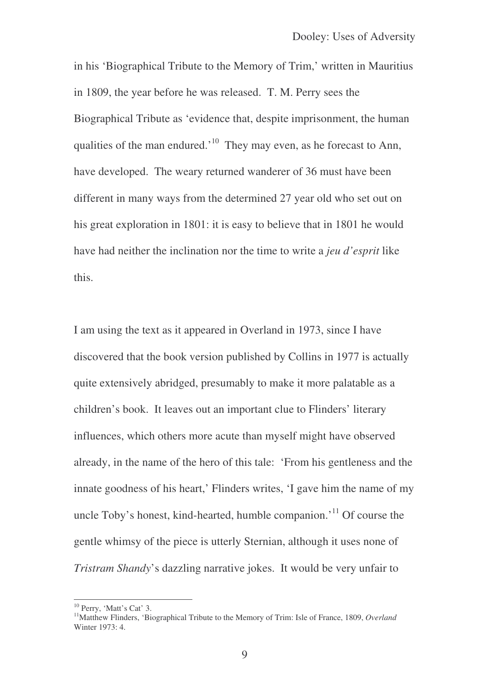in his 'Biographical Tribute to the Memory of Trim,' written in Mauritius in 1809, the year before he was released. T. M. Perry sees the Biographical Tribute as 'evidence that, despite imprisonment, the human qualities of the man endured.<sup>'10</sup> They may even, as he forecast to Ann, have developed. The weary returned wanderer of 36 must have been different in many ways from the determined 27 year old who set out on his great exploration in 1801: it is easy to believe that in 1801 he would have had neither the inclination nor the time to write a *jeu d'esprit* like this.

I am using the text as it appeared in Overland in 1973, since I have discovered that the book version published by Collins in 1977 is actually quite extensively abridged, presumably to make it more palatable as a children's book. It leaves out an important clue to Flinders' literary influences, which others more acute than myself might have observed already, in the name of the hero of this tale: 'From his gentleness and the innate goodness of his heart,' Flinders writes, 'I gave him the name of my uncle Toby's honest, kind-hearted, humble companion.<sup>11</sup> Of course the gentle whimsy of the piece is utterly Sternian, although it uses none of *Tristram Shandy*'s dazzling narrative jokes. It would be very unfair to

<sup>&</sup>lt;sup>10</sup> Perry, 'Matt's Cat' 3.

<sup>&</sup>lt;sup>11</sup>Matthew Flinders, 'Biographical Tribute to the Memory of Trim: Isle of France, 1809, *Overland* Winter 1973: 4.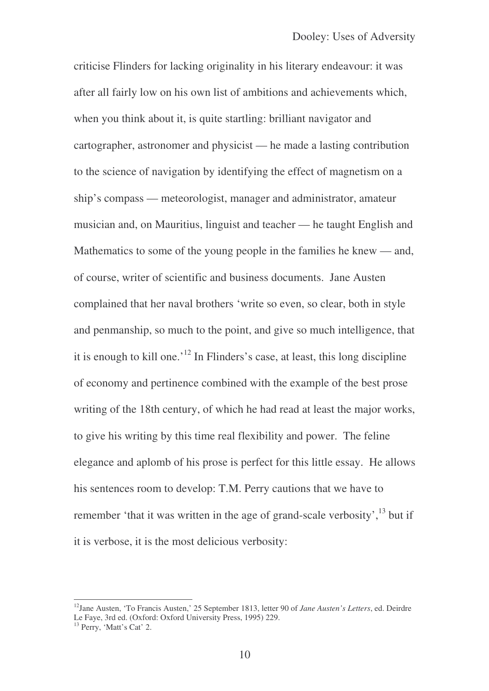criticise Flinders for lacking originality in his literary endeavour: it was after all fairly low on his own list of ambitions and achievements which, when you think about it, is quite startling: brilliant navigator and cartographer, astronomer and physicist — he made a lasting contribution to the science of navigation by identifying the effect of magnetism on a ship's compass — meteorologist, manager and administrator, amateur musician and, on Mauritius, linguist and teacher — he taught English and Mathematics to some of the young people in the families he knew — and, of course, writer of scientific and business documents. Jane Austen complained that her naval brothers 'write so even, so clear, both in style and penmanship, so much to the point, and give so much intelligence, that it is enough to kill one.<sup>'12</sup> In Flinders's case, at least, this long discipline of economy and pertinence combined with the example of the best prose writing of the 18th century, of which he had read at least the major works, to give his writing by this time real flexibility and power. The feline elegance and aplomb of his prose is perfect for this little essay. He allows his sentences room to develop: T.M. Perry cautions that we have to remember 'that it was written in the age of grand-scale verbosity',<sup>13</sup> but if it is verbose, it is the most delicious verbosity:

<sup>12</sup> Jane Austen, 'To Francis Austen,' 25 September 1813, letter 90 of *Jane Austen's Letters*, ed. Deirdre Le Faye, 3rd ed. (Oxford: Oxford University Press, 1995) 229.

<sup>&</sup>lt;sup>13</sup> Perry, 'Matt's Cat' 2.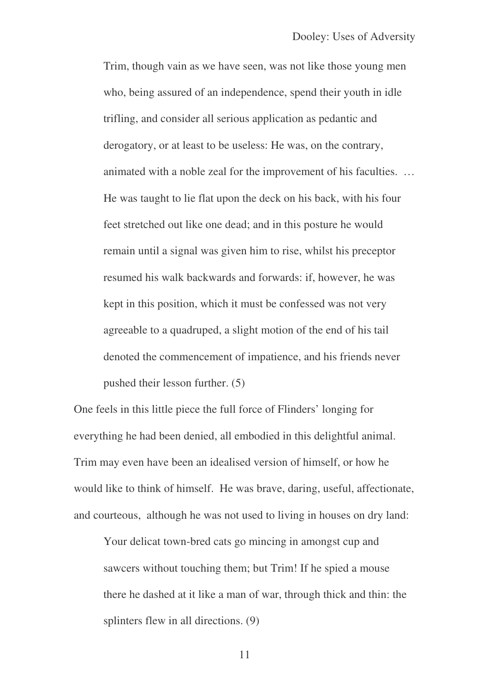Trim, though vain as we have seen, was not like those young men who, being assured of an independence, spend their youth in idle trifling, and consider all serious application as pedantic and derogatory, or at least to be useless: He was, on the contrary, animated with a noble zeal for the improvement of his faculties. … He was taught to lie flat upon the deck on his back, with his four feet stretched out like one dead; and in this posture he would remain until a signal was given him to rise, whilst his preceptor resumed his walk backwards and forwards: if, however, he was kept in this position, which it must be confessed was not very agreeable to a quadruped, a slight motion of the end of his tail denoted the commencement of impatience, and his friends never pushed their lesson further. (5)

One feels in this little piece the full force of Flinders' longing for everything he had been denied, all embodied in this delightful animal. Trim may even have been an idealised version of himself, or how he would like to think of himself. He was brave, daring, useful, affectionate, and courteous, although he was not used to living in houses on dry land:

Your delicat town-bred cats go mincing in amongst cup and sawcers without touching them; but Trim! If he spied a mouse there he dashed at it like a man of war, through thick and thin: the splinters flew in all directions. (9)

11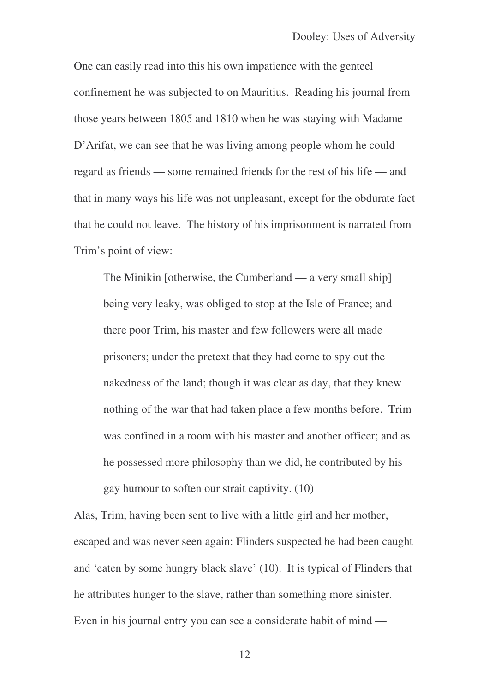One can easily read into this his own impatience with the genteel confinement he was subjected to on Mauritius. Reading his journal from those years between 1805 and 1810 when he was staying with Madame D'Arifat, we can see that he was living among people whom he could regard as friends — some remained friends for the rest of his life — and that in many ways his life was not unpleasant, except for the obdurate fact that he could not leave. The history of his imprisonment is narrated from Trim's point of view:

The Minikin [otherwise, the Cumberland — a very small ship] being very leaky, was obliged to stop at the Isle of France; and there poor Trim, his master and few followers were all made prisoners; under the pretext that they had come to spy out the nakedness of the land; though it was clear as day, that they knew nothing of the war that had taken place a few months before. Trim was confined in a room with his master and another officer; and as he possessed more philosophy than we did, he contributed by his gay humour to soften our strait captivity. (10)

Alas, Trim, having been sent to live with a little girl and her mother, escaped and was never seen again: Flinders suspected he had been caught and 'eaten by some hungry black slave' (10). It is typical of Flinders that he attributes hunger to the slave, rather than something more sinister. Even in his journal entry you can see a considerate habit of mind —

12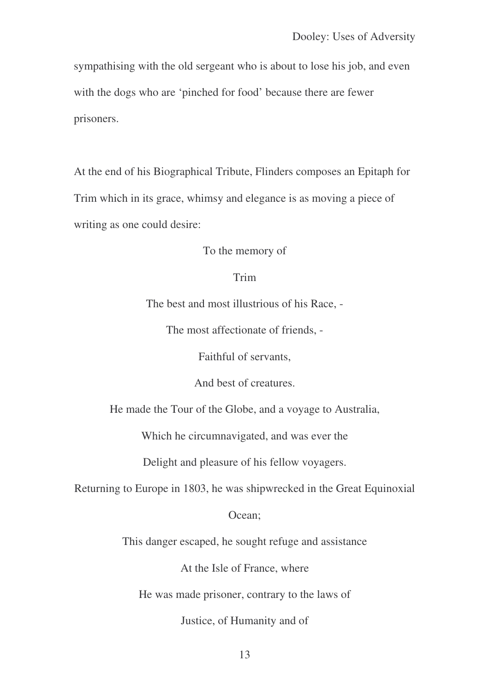sympathising with the old sergeant who is about to lose his job, and even with the dogs who are 'pinched for food' because there are fewer prisoners.

At the end of his Biographical Tribute, Flinders composes an Epitaph for Trim which in its grace, whimsy and elegance is as moving a piece of writing as one could desire:

To the memory of

## Trim

The best and most illustrious of his Race, -

The most affectionate of friends, -

Faithful of servants,

And best of creatures.

He made the Tour of the Globe, and a voyage to Australia,

Which he circumnavigated, and was ever the

Delight and pleasure of his fellow voyagers.

Returning to Europe in 1803, he was shipwrecked in the Great Equinoxial

## Ocean;

This danger escaped, he sought refuge and assistance

At the Isle of France, where

He was made prisoner, contrary to the laws of

Justice, of Humanity and of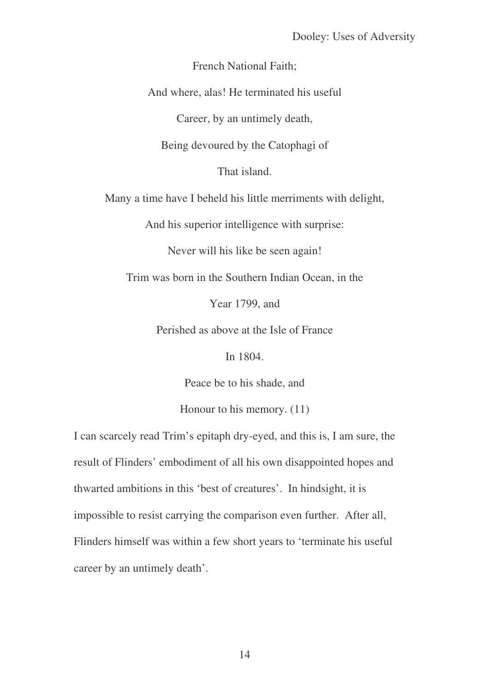French National Faith;

And where, alas! He terminated his useful

Career, by an untimely death,

Being devoured by the Catophagi of

That island.

Many a time have I beheld his little merriments with delight,

And his superior intelligence with surprise:

Never will his like be seen again!

Trim was born in the Southern Indian Ocean, in the

Year 1799, and

Perished as above at the Isle of France

In 1804.

Peace be to his shade, and

Honour to his memory. (11)

I can scarcely read Trim's epitaph dry-eyed, and this is, I am sure, the result of Flinders' embodiment of all his own disappointed hopes and thwarted ambitions in this 'best of creatures'. In hindsight, it is impossible to resist carrying the comparison even further. After all, Flinders himself was within a few short years to 'terminate his useful career by an untimely death'.